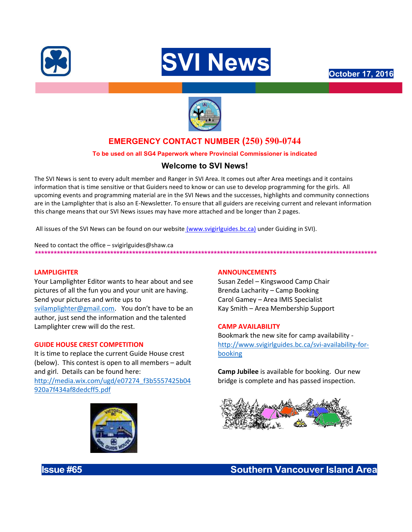





# EMERGENCY CONTACT NUMBER (250) 590-0744

# To be used on all SG4 Paperwork where Provincial Commissioner is indicated

# Welcome to SVI News!

The SVI News is sent to every adult member and Ranger in SVI Area. It comes out after Area meetings and it contains information that is time sensitive or that Guiders need to know or can use to develop programming for the girls. All upcoming events and programming material are in the SVI News and the successes, highlights and community connections are in the Lamplighter that is also an E-Newsletter. To ensure that all guiders are receiving current and relevant information this change means that our SVI News issues may have more attached and be longer than 2 pages.

All issues of the SVI News can be found on our website (www.svigirlguides.bc.ca) under Guiding in SVI).

Need to contact the office – svigirlguides@shaw.ca \*\*\*\*\*\*\*\*\*\*\*\*\*\*\*\*\*\*\*\*\*\*\*\*\*\*\*\*\*\*\*\*\*\*\*\*\*\*\*\*\*\*\*\*\*\*\*\*\*\*\*\*\*\*\*\*\*\*\*\*\*\*\*\*\*\*\*\*\*\*\*\*\*\*\*\*\*\*\*\*\*\*\*\*\*\*\*\*\*\*\*\*\*\*\*\*\*\*\*\*\*\*\*\*\*\*\*\*\*

### LAMPLIGHTER

Your Lamplighter Editor wants to hear about and see pictures of all the fun you and your unit are having. Send your pictures and write ups to svilamplighter@gmail.com. You don't have to be an author, just send the information and the talented Lamplighter crew will do the rest.

### GUIDE HOUSE CREST COMPETITION

It is time to replace the current Guide House crest (below). This contest is open to all members – adult and girl. Details can be found here: http://media.wix.com/ugd/e07274\_f3b5557425b04 920a7f434af8dedcff5.pdf



## ANNOUNCEMENTS

Susan Zedel – Kingswood Camp Chair Brenda Lacharity – Camp Booking Carol Gamey – Area IMIS Specialist Kay Smith – Area Membership Support

### CAMP AVAILABILITY

Bookmark the new site for camp availability http://www.svigirlguides.bc.ca/svi-availability-forbooking

**Camp Jubilee** is available for booking. Our new bridge is complete and has passed inspection.



**Issue #65 Southern Vancouver Island Area**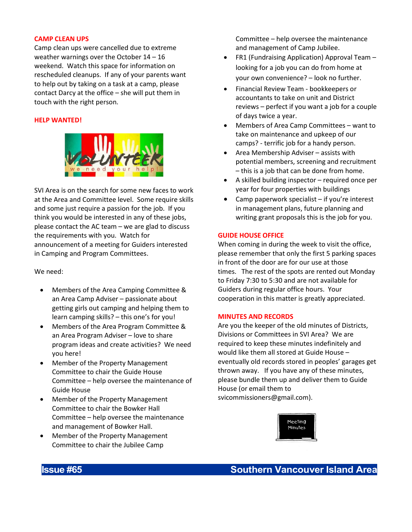## CAMP CLEAN UPS

Camp clean ups were cancelled due to extreme weather warnings over the October 14 – 16 weekend. Watch this space for information on rescheduled cleanups. If any of your parents want to help out by taking on a task at a camp, please contact Darcy at the office – she will put them in touch with the right person.

# HELP WANTED!



SVI Area is on the search for some new faces to work at the Area and Committee level. Some require skills and some just require a passion for the job. If you think you would be interested in any of these jobs, please contact the AC team – we are glad to discuss the requirements with you. Watch for announcement of a meeting for Guiders interested in Camping and Program Committees.

We need:

- Members of the Area Camping Committee & an Area Camp Adviser – passionate about getting girls out camping and helping them to learn camping skills? – this one's for you!
- Members of the Area Program Committee & an Area Program Adviser – love to share program ideas and create activities? We need you here!
- Member of the Property Management Committee to chair the Guide House Committee – help oversee the maintenance of Guide House
- Member of the Property Management Committee to chair the Bowker Hall Committee – help oversee the maintenance and management of Bowker Hall.
- Member of the Property Management Committee to chair the Jubilee Camp

Committee – help oversee the maintenance and management of Camp Jubilee.

- FR1 (Fundraising Application) Approval Team looking for a job you can do from home at your own convenience? – look no further.
- Financial Review Team bookkeepers or accountants to take on unit and District reviews – perfect if you want a job for a couple of days twice a year.
- Members of Area Camp Committees want to take on maintenance and upkeep of our camps? - terrific job for a handy person.
- Area Membership Adviser assists with potential members, screening and recruitment – this is a job that can be done from home.
- A skilled building inspector required once per year for four properties with buildings
- Camp paperwork specialist if you're interest in management plans, future planning and writing grant proposals this is the job for you.

# GUIDE HOUSE OFFICE

When coming in during the week to visit the office, please remember that only the first 5 parking spaces in front of the door are for our use at those times. The rest of the spots are rented out Monday to Friday 7:30 to 5:30 and are not available for Guiders during regular office hours. Your cooperation in this matter is greatly appreciated.

### MINUTES AND RECORDS

Are you the keeper of the old minutes of Districts, Divisions or Committees in SVI Area? We are required to keep these minutes indefinitely and would like them all stored at Guide House – eventually old records stored in peoples' garages get thrown away. If you have any of these minutes, please bundle them up and deliver them to Guide House (or email them to svicommissioners@gmail.com).

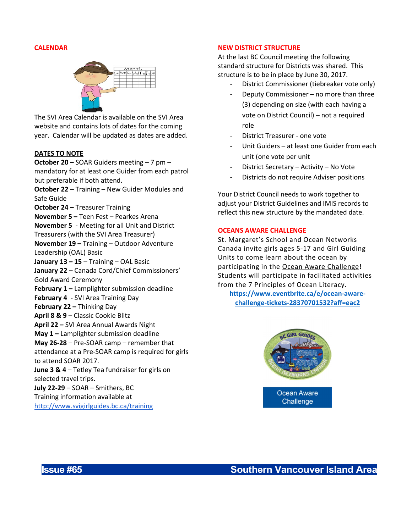#### CALENDAR



The SVI Area Calendar is available on the SVI Area website and contains lots of dates for the coming year. Calendar will be updated as dates are added.

#### DATES TO NOTE

October 20 – SOAR Guiders meeting – 7 pm – mandatory for at least one Guider from each patrol but preferable if both attend.

October 22 – Training – New Guider Modules and Safe Guide

**October 24 – Treasurer Training** 

November 5 – Teen Fest – Pearkes Arena

November 5 - Meeting for all Unit and District Treasurers (with the SVI Area Treasurer)

November 19 – Training – Outdoor Adventure Leadership (OAL) Basic

January  $13 - 15$  – Training – OAL Basic

January 22 - Canada Cord/Chief Commissioners' Gold Award Ceremony

- February 1 Lamplighter submission deadline
- February 4 SVI Area Training Day
- February 22 Thinking Day
- April 8 & 9 Classic Cookie Blitz
- April 22 SVI Area Annual Awards Night
- May 1 Lamplighter submission deadline

May 26-28 – Pre-SOAR camp – remember that attendance at a Pre-SOAR camp is required for girls to attend SOAR 2017.

June 3 & 4 – Tetley Tea fundraiser for girls on selected travel trips.

July 22-29 – SOAR – Smithers, BC Training information available at http://www.svigirlguides.bc.ca/training

### NEW DISTRICT STRUCTURE

At the last BC Council meeting the following standard structure for Districts was shared. This structure is to be in place by June 30, 2017.

- District Commissioner (tiebreaker vote only)
- Deputy Commissioner no more than three (3) depending on size (with each having a vote on District Council) – not a required role
- District Treasurer one vote
- Unit Guiders at least one Guider from each unit (one vote per unit
- District Secretary Activity No Vote
- Districts do not require Adviser positions

Your District Council needs to work together to adjust your District Guidelines and IMIS records to reflect this new structure by the mandated date.

#### OCEANS AWARE CHALLENGE

St. Margaret's School and Ocean Networks Canada invite girls ages 5-17 and Girl Guiding Units to come learn about the ocean by participating in the Ocean Aware Challenge! Students will participate in facilitated activities from the 7 Principles of Ocean Literacy.

https://www.eventbrite.ca/e/ocean-awarechallenge-tickets-28370701532?aff=eac2